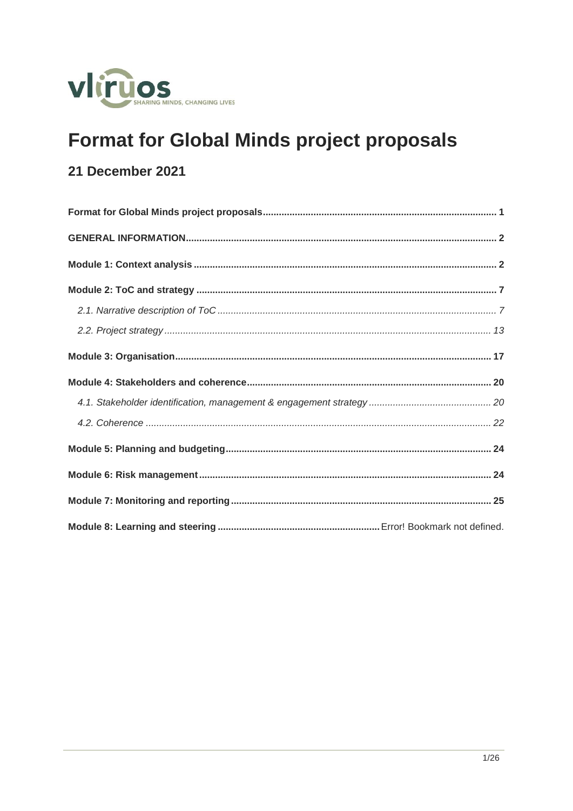

# <span id="page-0-0"></span>**Format for Global Minds project proposals**

# 21 December 2021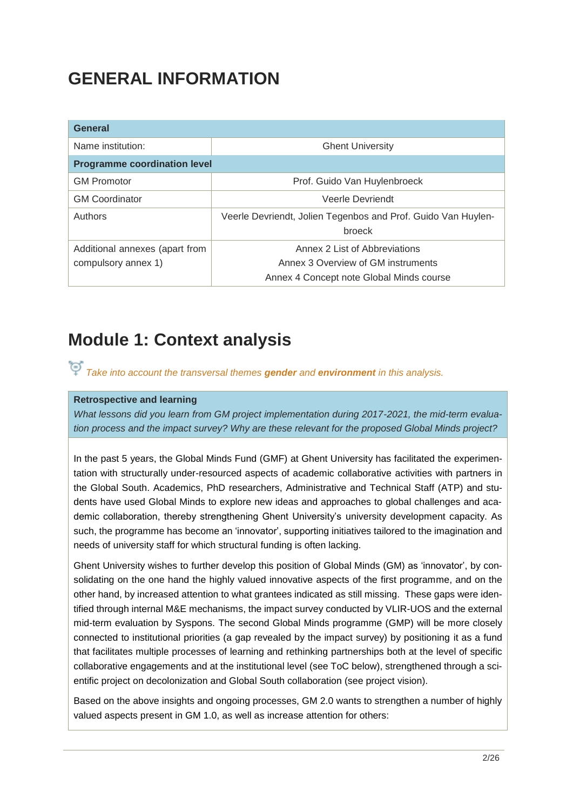# <span id="page-1-0"></span>**GENERAL INFORMATION**

| <b>General</b>                      |                                                               |  |  |  |
|-------------------------------------|---------------------------------------------------------------|--|--|--|
| Name institution:                   | <b>Ghent University</b>                                       |  |  |  |
| <b>Programme coordination level</b> |                                                               |  |  |  |
| <b>GM Promotor</b>                  | Prof. Guido Van Huylenbroeck                                  |  |  |  |
| <b>GM Coordinator</b>               | Veerle Devriendt                                              |  |  |  |
| Authors                             | Veerle Devriendt, Jolien Tegenbos and Prof. Guido Van Huylen- |  |  |  |
|                                     | broeck                                                        |  |  |  |
| Additional annexes (apart from      | Annex 2 List of Abbreviations                                 |  |  |  |
| compulsory annex 1)                 | Annex 3 Overview of GM instruments                            |  |  |  |
|                                     | Annex 4 Concept note Global Minds course                      |  |  |  |

# <span id="page-1-1"></span>**Module 1: Context analysis**

*Take into account the transversal themes gender and environment in this analysis.*

### **Retrospective and learning**

*What lessons did you learn from GM project implementation during 2017-2021, the mid-term evaluation process and the impact survey? Why are these relevant for the proposed Global Minds project?*

In the past 5 years, the Global Minds Fund (GMF) at Ghent University has facilitated the experimentation with structurally under-resourced aspects of academic collaborative activities with partners in the Global South. Academics, PhD researchers, Administrative and Technical Staff (ATP) and students have used Global Minds to explore new ideas and approaches to global challenges and academic collaboration, thereby strengthening Ghent University's university development capacity. As such, the programme has become an 'innovator', supporting initiatives tailored to the imagination and needs of university staff for which structural funding is often lacking.

Ghent University wishes to further develop this position of Global Minds (GM) as 'innovator', by consolidating on the one hand the highly valued innovative aspects of the first programme, and on the other hand, by increased attention to what grantees indicated as still missing. These gaps were identified through internal M&E mechanisms, the impact survey conducted by VLIR-UOS and the external mid-term evaluation by Syspons. The second Global Minds programme (GMP) will be more closely connected to institutional priorities (a gap revealed by the impact survey) by positioning it as a fund that facilitates multiple processes of learning and rethinking partnerships both at the level of specific collaborative engagements and at the institutional level (see ToC below), strengthened through a scientific project on decolonization and Global South collaboration (see project vision).

Based on the above insights and ongoing processes, GM 2.0 wants to strengthen a number of highly valued aspects present in GM 1.0, as well as increase attention for others: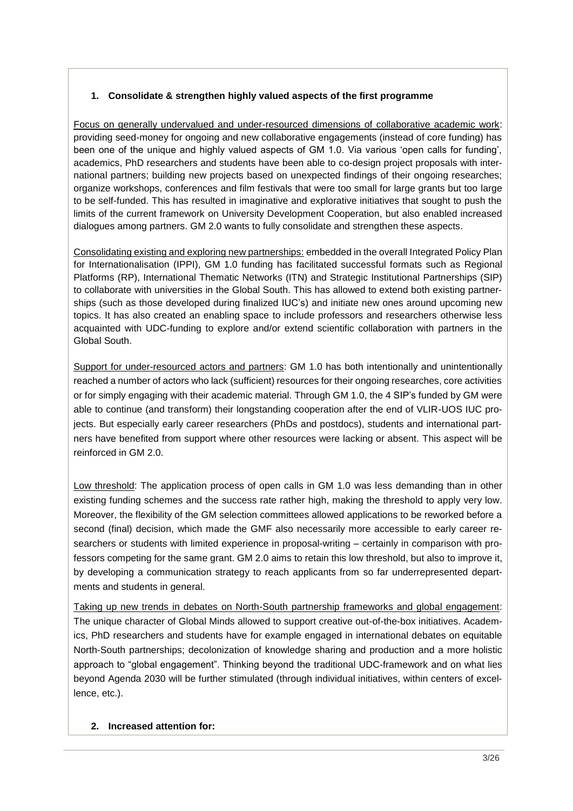## **1. Consolidate & strengthen highly valued aspects of the first programme**

Focus on generally undervalued and under-resourced dimensions of collaborative academic work: providing seed-money for ongoing and new collaborative engagements (instead of core funding) has been one of the unique and highly valued aspects of GM 1.0. Via various 'open calls for funding', academics, PhD researchers and students have been able to co-design project proposals with international partners; building new projects based on unexpected findings of their ongoing researches; organize workshops, conferences and film festivals that were too small for large grants but too large to be self-funded. This has resulted in imaginative and explorative initiatives that sought to push the limits of the current framework on University Development Cooperation, but also enabled increased dialogues among partners. GM 2.0 wants to fully consolidate and strengthen these aspects.

Consolidating existing and exploring new partnerships: embedded in the overall Integrated Policy Plan for Internationalisation (IPPI), GM 1.0 funding has facilitated successful formats such as Regional Platforms (RP), International Thematic Networks (ITN) and Strategic Institutional Partnerships (SIP) to collaborate with universities in the Global South. This has allowed to extend both existing partnerships (such as those developed during finalized IUC's) and initiate new ones around upcoming new topics. It has also created an enabling space to include professors and researchers otherwise less acquainted with UDC-funding to explore and/or extend scientific collaboration with partners in the Global South.

Support for under-resourced actors and partners: GM 1.0 has both intentionally and unintentionally reached a number of actors who lack (sufficient) resources for their ongoing researches, core activities or for simply engaging with their academic material. Through GM 1.0, the 4 SIP's funded by GM were able to continue (and transform) their longstanding cooperation after the end of VLIR-UOS IUC projects. But especially early career researchers (PhDs and postdocs), students and international partners have benefited from support where other resources were lacking or absent. This aspect will be reinforced in GM 2.0.

Low threshold: The application process of open calls in GM 1.0 was less demanding than in other existing funding schemes and the success rate rather high, making the threshold to apply very low. Moreover, the flexibility of the GM selection committees allowed applications to be reworked before a second (final) decision, which made the GMF also necessarily more accessible to early career researchers or students with limited experience in proposal-writing – certainly in comparison with professors competing for the same grant. GM 2.0 aims to retain this low threshold, but also to improve it, by developing a communication strategy to reach applicants from so far underrepresented departments and students in general.

Taking up new trends in debates on North-South partnership frameworks and global engagement: The unique character of Global Minds allowed to support creative out-of-the-box initiatives. Academics, PhD researchers and students have for example engaged in international debates on equitable North-South partnerships; decolonization of knowledge sharing and production and a more holistic approach to "global engagement". Thinking beyond the traditional UDC-framework and on what lies beyond Agenda 2030 will be further stimulated (through individual initiatives, within centers of excellence, etc.).

### **2. Increased attention for:**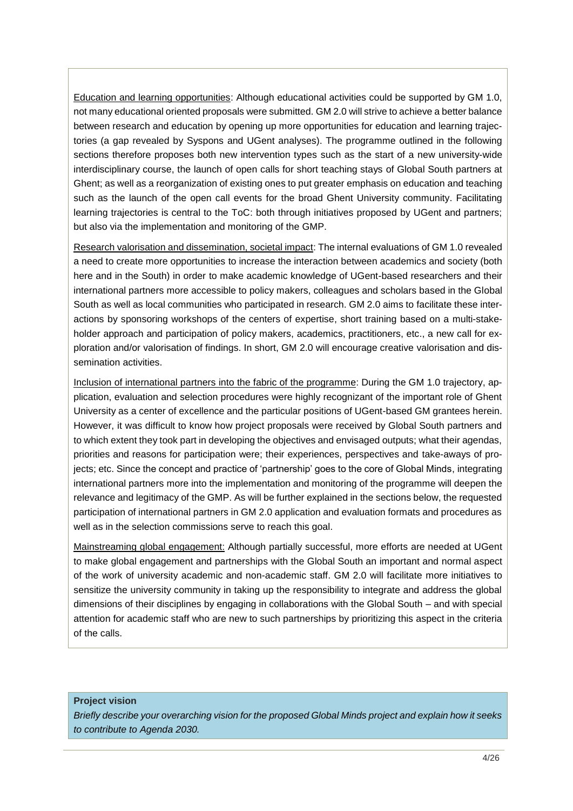Education and learning opportunities: Although educational activities could be supported by GM 1.0, not many educational oriented proposals were submitted. GM 2.0 will strive to achieve a better balance between research and education by opening up more opportunities for education and learning trajectories (a gap revealed by Syspons and UGent analyses). The programme outlined in the following sections therefore proposes both new intervention types such as the start of a new university-wide interdisciplinary course, the launch of open calls for short teaching stays of Global South partners at Ghent; as well as a reorganization of existing ones to put greater emphasis on education and teaching such as the launch of the open call events for the broad Ghent University community. Facilitating learning trajectories is central to the ToC: both through initiatives proposed by UGent and partners; but also via the implementation and monitoring of the GMP.

Research valorisation and dissemination, societal impact: The internal evaluations of GM 1.0 revealed a need to create more opportunities to increase the interaction between academics and society (both here and in the South) in order to make academic knowledge of UGent-based researchers and their international partners more accessible to policy makers, colleagues and scholars based in the Global South as well as local communities who participated in research. GM 2.0 aims to facilitate these interactions by sponsoring workshops of the centers of expertise, short training based on a multi-stakeholder approach and participation of policy makers, academics, practitioners, etc., a new call for exploration and/or valorisation of findings. In short, GM 2.0 will encourage creative valorisation and dissemination activities.

Inclusion of international partners into the fabric of the programme: During the GM 1.0 trajectory, application, evaluation and selection procedures were highly recognizant of the important role of Ghent University as a center of excellence and the particular positions of UGent-based GM grantees herein. However, it was difficult to know how project proposals were received by Global South partners and to which extent they took part in developing the objectives and envisaged outputs; what their agendas, priorities and reasons for participation were; their experiences, perspectives and take-aways of projects; etc. Since the concept and practice of 'partnership' goes to the core of Global Minds, integrating international partners more into the implementation and monitoring of the programme will deepen the relevance and legitimacy of the GMP. As will be further explained in the sections below, the requested participation of international partners in GM 2.0 application and evaluation formats and procedures as well as in the selection commissions serve to reach this goal.

Mainstreaming global engagement: Although partially successful, more efforts are needed at UGent to make global engagement and partnerships with the Global South an important and normal aspect of the work of university academic and non-academic staff. GM 2.0 will facilitate more initiatives to sensitize the university community in taking up the responsibility to integrate and address the global dimensions of their disciplines by engaging in collaborations with the Global South – and with special attention for academic staff who are new to such partnerships by prioritizing this aspect in the criteria of the calls.

#### **Project vision**

*Briefly describe your overarching vision for the proposed Global Minds project and explain how it seeks to contribute to Agenda 2030.*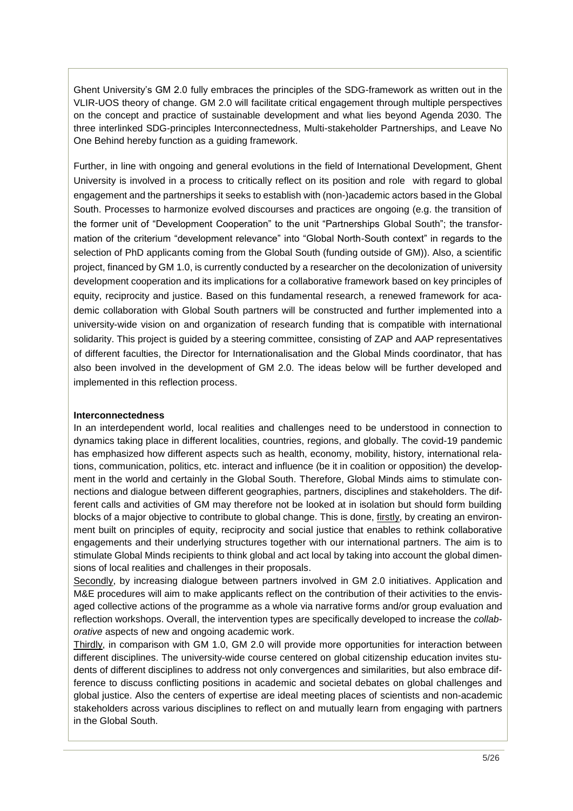Ghent University's GM 2.0 fully embraces the principles of the SDG-framework as written out in the VLIR-UOS theory of change. GM 2.0 will facilitate critical engagement through multiple perspectives on the concept and practice of sustainable development and what lies beyond Agenda 2030. The three interlinked SDG-principles Interconnectedness, Multi-stakeholder Partnerships, and Leave No One Behind hereby function as a guiding framework.

Further, in line with ongoing and general evolutions in the field of International Development, Ghent University is involved in a process to critically reflect on its position and role with regard to global engagement and the partnerships it seeks to establish with (non-)academic actors based in the Global South. Processes to harmonize evolved discourses and practices are ongoing (e.g. the transition of the former unit of "Development Cooperation" to the unit "Partnerships Global South"; the transformation of the criterium "development relevance" into "Global North-South context" in regards to the selection of PhD applicants coming from the Global South (funding outside of GM)). Also, a scientific project, financed by GM 1.0, is currently conducted by a researcher on the decolonization of university development cooperation and its implications for a collaborative framework based on key principles of equity, reciprocity and justice. Based on this fundamental research, a renewed framework for academic collaboration with Global South partners will be constructed and further implemented into a university-wide vision on and organization of research funding that is compatible with international solidarity. This project is guided by a steering committee, consisting of ZAP and AAP representatives of different faculties, the Director for Internationalisation and the Global Minds coordinator, that has also been involved in the development of GM 2.0. The ideas below will be further developed and implemented in this reflection process.

#### **Interconnectedness**

In an interdependent world, local realities and challenges need to be understood in connection to dynamics taking place in different localities, countries, regions, and globally. The covid-19 pandemic has emphasized how different aspects such as health, economy, mobility, history, international relations, communication, politics, etc. interact and influence (be it in coalition or opposition) the development in the world and certainly in the Global South. Therefore, Global Minds aims to stimulate connections and dialogue between different geographies, partners, disciplines and stakeholders. The different calls and activities of GM may therefore not be looked at in isolation but should form building blocks of a major objective to contribute to global change. This is done, firstly, by creating an environment built on principles of equity, reciprocity and social justice that enables to rethink collaborative engagements and their underlying structures together with our international partners. The aim is to stimulate Global Minds recipients to think global and act local by taking into account the global dimensions of local realities and challenges in their proposals.

Secondly, by increasing dialogue between partners involved in GM 2.0 initiatives. Application and M&E procedures will aim to make applicants reflect on the contribution of their activities to the envisaged collective actions of the programme as a whole via narrative forms and/or group evaluation and reflection workshops. Overall, the intervention types are specifically developed to increase the *collaborative* aspects of new and ongoing academic work.

Thirdly, in comparison with GM 1.0, GM 2.0 will provide more opportunities for interaction between different disciplines. The university-wide course centered on global citizenship education invites students of different disciplines to address not only convergences and similarities, but also embrace difference to discuss conflicting positions in academic and societal debates on global challenges and global justice. Also the centers of expertise are ideal meeting places of scientists and non-academic stakeholders across various disciplines to reflect on and mutually learn from engaging with partners in the Global South.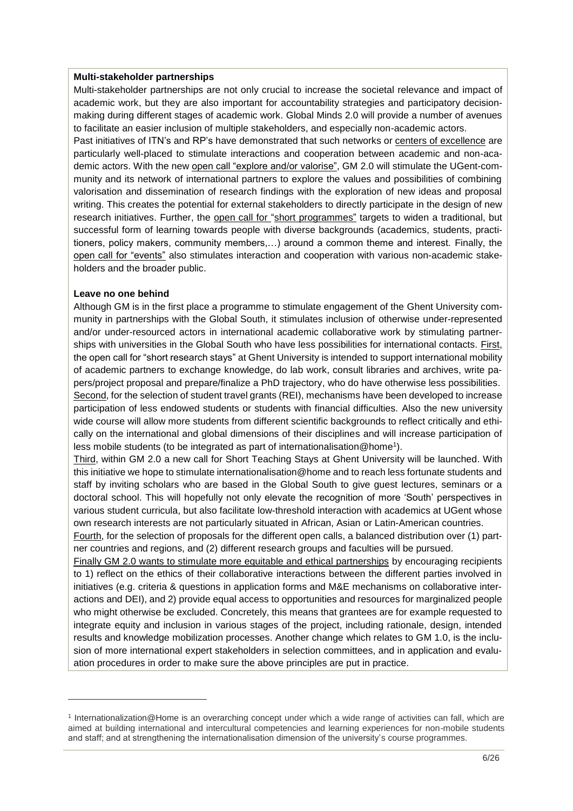#### **Multi-stakeholder partnerships**

Multi-stakeholder partnerships are not only crucial to increase the societal relevance and impact of academic work, but they are also important for accountability strategies and participatory decisionmaking during different stages of academic work. Global Minds 2.0 will provide a number of avenues to facilitate an easier inclusion of multiple stakeholders, and especially non-academic actors.

Past initiatives of ITN's and RP's have demonstrated that such networks or centers of excellence are particularly well-placed to stimulate interactions and cooperation between academic and non-academic actors. With the new open call "explore and/or valorise", GM 2.0 will stimulate the UGent-community and its network of international partners to explore the values and possibilities of combining valorisation and dissemination of research findings with the exploration of new ideas and proposal writing. This creates the potential for external stakeholders to directly participate in the design of new research initiatives. Further, the open call for "short programmes" targets to widen a traditional, but successful form of learning towards people with diverse backgrounds (academics, students, practitioners, policy makers, community members,…) around a common theme and interest. Finally, the open call for "events" also stimulates interaction and cooperation with various non-academic stakeholders and the broader public.

#### **Leave no one behind**

-

Although GM is in the first place a programme to stimulate engagement of the Ghent University community in partnerships with the Global South, it stimulates inclusion of otherwise under-represented and/or under-resourced actors in international academic collaborative work by stimulating partnerships with universities in the Global South who have less possibilities for international contacts. First, the open call for "short research stays" at Ghent University is intended to support international mobility of academic partners to exchange knowledge, do lab work, consult libraries and archives, write papers/project proposal and prepare/finalize a PhD trajectory, who do have otherwise less possibilities. Second, for the selection of student travel grants (REI), mechanisms have been developed to increase participation of less endowed students or students with financial difficulties. Also the new university wide course will allow more students from different scientific backgrounds to reflect critically and ethically on the international and global dimensions of their disciplines and will increase participation of less mobile students (to be integrated as part of internationalisation@home<sup>1</sup>).

Third, within GM 2.0 a new call for Short Teaching Stays at Ghent University will be launched. With this initiative we hope to stimulate internationalisation@home and to reach less fortunate students and staff by inviting scholars who are based in the Global South to give guest lectures, seminars or a doctoral school. This will hopefully not only elevate the recognition of more 'South' perspectives in various student curricula, but also facilitate low-threshold interaction with academics at UGent whose own research interests are not particularly situated in African, Asian or Latin-American countries.

Fourth, for the selection of proposals for the different open calls, a balanced distribution over (1) partner countries and regions, and (2) different research groups and faculties will be pursued.

Finally GM 2.0 wants to stimulate more equitable and ethical partnerships by encouraging recipients to 1) reflect on the ethics of their collaborative interactions between the different parties involved in initiatives (e.g. criteria & questions in application forms and M&E mechanisms on collaborative interactions and DEI), and 2) provide equal access to opportunities and resources for marginalized people who might otherwise be excluded. Concretely, this means that grantees are for example requested to integrate equity and inclusion in various stages of the project, including rationale, design, intended results and knowledge mobilization processes. Another change which relates to GM 1.0, is the inclusion of more international expert stakeholders in selection committees, and in application and evaluation procedures in order to make sure the above principles are put in practice.

<sup>1</sup> Internationalization@Home is an overarching concept under which a wide range of activities can fall, which are aimed at building international and intercultural competencies and learning experiences for non-mobile students and staff; and at strengthening the internationalisation dimension of the university's course programmes.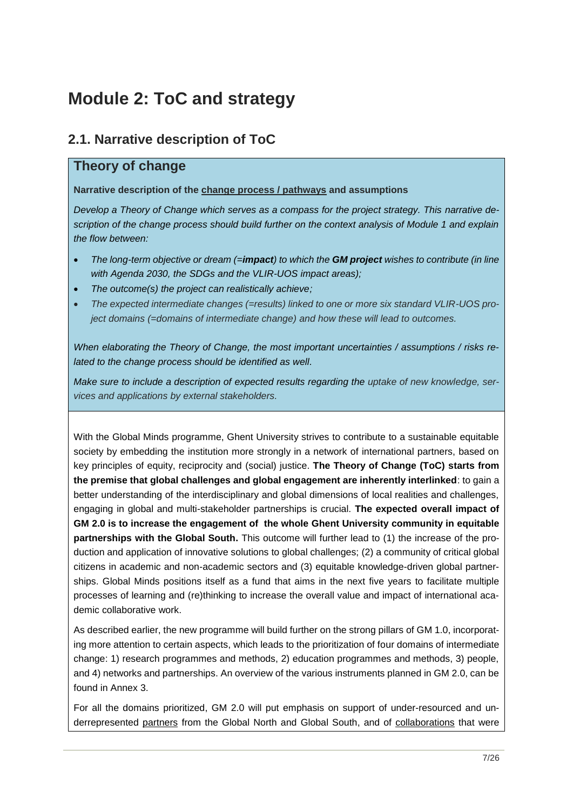# <span id="page-6-0"></span>**Module 2: ToC and strategy**

# <span id="page-6-1"></span>**2.1. Narrative description of ToC**

# **Theory of change**

### **Narrative description of the change process / pathways and assumptions**

*Develop a Theory of Change which serves as a compass for the project strategy. This narrative description of the change process should build further on the context analysis of Module 1 and explain the flow between:*

- *The long-term objective or dream (=impact) to which the GM project wishes to contribute (in line with Agenda 2030, the SDGs and the VLIR-UOS impact areas);*
- *The outcome(s) the project can realistically achieve;*
- *The expected intermediate changes (=results) linked to one or more six standard VLIR-UOS project domains (=domains of intermediate change) and how these will lead to outcomes.*

*When elaborating the Theory of Change, the most important uncertainties / assumptions / risks related to the change process should be identified as well.*

*Make sure to include a description of expected results regarding the uptake of new knowledge, services and applications by external stakeholders.*

With the Global Minds programme, Ghent University strives to contribute to a sustainable equitable society by embedding the institution more strongly in a network of international partners, based on key principles of equity, reciprocity and (social) justice. **The Theory of Change (ToC) starts from the premise that global challenges and global engagement are inherently interlinked**: to gain a better understanding of the interdisciplinary and global dimensions of local realities and challenges, engaging in global and multi-stakeholder partnerships is crucial. **The expected overall impact of GM 2.0 is to increase the engagement of the whole Ghent University community in equitable partnerships with the Global South.** This outcome will further lead to (1) the increase of the production and application of innovative solutions to global challenges; (2) a community of critical global citizens in academic and non-academic sectors and (3) equitable knowledge-driven global partnerships. Global Minds positions itself as a fund that aims in the next five years to facilitate multiple processes of learning and (re)thinking to increase the overall value and impact of international academic collaborative work.

As described earlier, the new programme will build further on the strong pillars of GM 1.0, incorporating more attention to certain aspects, which leads to the prioritization of four domains of intermediate change: 1) research programmes and methods, 2) education programmes and methods, 3) people, and 4) networks and partnerships. An overview of the various instruments planned in GM 2.0, can be found in Annex 3.

For all the domains prioritized, GM 2.0 will put emphasis on support of under-resourced and underrepresented partners from the Global North and Global South, and of collaborations that were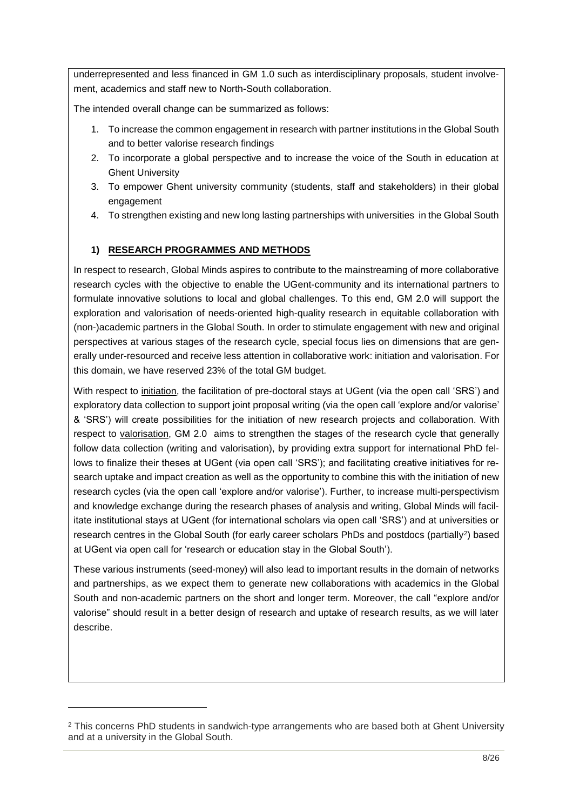underrepresented and less financed in GM 1.0 such as interdisciplinary proposals, student involvement, academics and staff new to North-South collaboration.

The intended overall change can be summarized as follows:

- 1. To increase the common engagement in research with partner institutions in the Global South and to better valorise research findings
- 2. To incorporate a global perspective and to increase the voice of the South in education at Ghent University
- 3. To empower Ghent university community (students, staff and stakeholders) in their global engagement
- 4. To strengthen existing and new long lasting partnerships with universities in the Global South

# **1) RESEARCH PROGRAMMES AND METHODS**

In respect to research, Global Minds aspires to contribute to the mainstreaming of more collaborative research cycles with the objective to enable the UGent-community and its international partners to formulate innovative solutions to local and global challenges. To this end, GM 2.0 will support the exploration and valorisation of needs-oriented high-quality research in equitable collaboration with (non-)academic partners in the Global South. In order to stimulate engagement with new and original perspectives at various stages of the research cycle, special focus lies on dimensions that are generally under-resourced and receive less attention in collaborative work: initiation and valorisation. For this domain, we have reserved 23% of the total GM budget.

With respect to initiation, the facilitation of pre-doctoral stays at UGent (via the open call 'SRS') and exploratory data collection to support joint proposal writing (via the open call 'explore and/or valorise' & 'SRS') will create possibilities for the initiation of new research projects and collaboration. With respect to valorisation, GM 2.0 aims to strengthen the stages of the research cycle that generally follow data collection (writing and valorisation), by providing extra support for international PhD fellows to finalize their theses at UGent (via open call 'SRS'); and facilitating creative initiatives for research uptake and impact creation as well as the opportunity to combine this with the initiation of new research cycles (via the open call 'explore and/or valorise'). Further, to increase multi-perspectivism and knowledge exchange during the research phases of analysis and writing, Global Minds will facilitate institutional stays at UGent (for international scholars via open call 'SRS') and at universities or research centres in the Global South (for early career scholars PhDs and postdocs (partially<sup>2</sup>) based at UGent via open call for 'research or education stay in the Global South').

These various instruments (seed-money) will also lead to important results in the domain of networks and partnerships, as we expect them to generate new collaborations with academics in the Global South and non-academic partners on the short and longer term. Moreover, the call "explore and/or valorise" should result in a better design of research and uptake of research results, as we will later describe.

-

<sup>&</sup>lt;sup>2</sup> This concerns PhD students in sandwich-type arrangements who are based both at Ghent University and at a university in the Global South.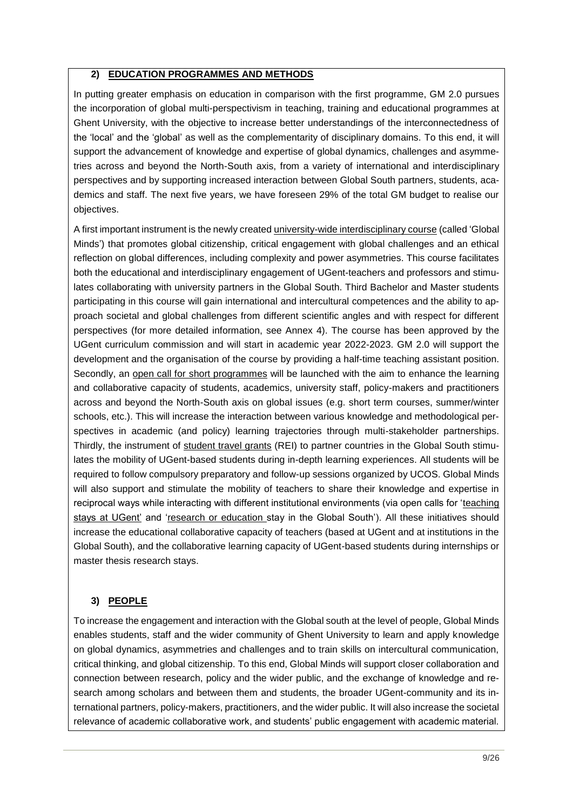### **2) EDUCATION PROGRAMMES AND METHODS**

In putting greater emphasis on education in comparison with the first programme, GM 2.0 pursues the incorporation of global multi-perspectivism in teaching, training and educational programmes at Ghent University, with the objective to increase better understandings of the interconnectedness of the 'local' and the 'global' as well as the complementarity of disciplinary domains. To this end, it will support the advancement of knowledge and expertise of global dynamics, challenges and asymmetries across and beyond the North-South axis, from a variety of international and interdisciplinary perspectives and by supporting increased interaction between Global South partners, students, academics and staff. The next five years, we have foreseen 29% of the total GM budget to realise our objectives.

A first important instrument is the newly created university-wide interdisciplinary course (called 'Global Minds') that promotes global citizenship, critical engagement with global challenges and an ethical reflection on global differences, including complexity and power asymmetries. This course facilitates both the educational and interdisciplinary engagement of UGent-teachers and professors and stimulates collaborating with university partners in the Global South. Third Bachelor and Master students participating in this course will gain international and intercultural competences and the ability to approach societal and global challenges from different scientific angles and with respect for different perspectives (for more detailed information, see Annex 4). The course has been approved by the UGent curriculum commission and will start in academic year 2022-2023. GM 2.0 will support the development and the organisation of the course by providing a half-time teaching assistant position. Secondly, an open call for short programmes will be launched with the aim to enhance the learning and collaborative capacity of students, academics, university staff, policy-makers and practitioners across and beyond the North-South axis on global issues (e.g. short term courses, summer/winter schools, etc.). This will increase the interaction between various knowledge and methodological perspectives in academic (and policy) learning trajectories through multi-stakeholder partnerships. Thirdly, the instrument of student travel grants (REI) to partner countries in the Global South stimulates the mobility of UGent-based students during in-depth learning experiences. All students will be required to follow compulsory preparatory and follow-up sessions organized by UCOS. Global Minds will also support and stimulate the mobility of teachers to share their knowledge and expertise in reciprocal ways while interacting with different institutional environments (via open calls for 'teaching stays at UGent' and 'research or education stay in the Global South'). All these initiatives should increase the educational collaborative capacity of teachers (based at UGent and at institutions in the Global South), and the collaborative learning capacity of UGent-based students during internships or master thesis research stays.

### **3) PEOPLE**

To increase the engagement and interaction with the Global south at the level of people, Global Minds enables students, staff and the wider community of Ghent University to learn and apply knowledge on global dynamics, asymmetries and challenges and to train skills on intercultural communication, critical thinking, and global citizenship. To this end, Global Minds will support closer collaboration and connection between research, policy and the wider public, and the exchange of knowledge and research among scholars and between them and students, the broader UGent-community and its international partners, policy-makers, practitioners, and the wider public. It will also increase the societal relevance of academic collaborative work, and students' public engagement with academic material.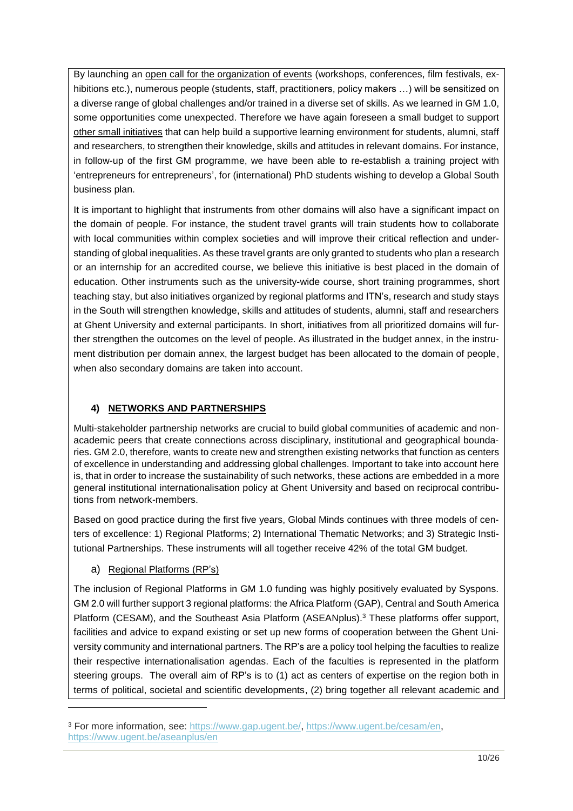By launching an open call for the organization of events (workshops, conferences, film festivals, exhibitions etc.), numerous people (students, staff, practitioners, policy makers ...) will be sensitized on a diverse range of global challenges and/or trained in a diverse set of skills. As we learned in GM 1.0, some opportunities come unexpected. Therefore we have again foreseen a small budget to support other small initiatives that can help build a supportive learning environment for students, alumni, staff and researchers, to strengthen their knowledge, skills and attitudes in relevant domains. For instance, in follow-up of the first GM programme, we have been able to re-establish a training project with 'entrepreneurs for entrepreneurs', for (international) PhD students wishing to develop a Global South business plan.

It is important to highlight that instruments from other domains will also have a significant impact on the domain of people. For instance, the student travel grants will train students how to collaborate with local communities within complex societies and will improve their critical reflection and understanding of global inequalities. As these travel grants are only granted to students who plan a research or an internship for an accredited course, we believe this initiative is best placed in the domain of education. Other instruments such as the university-wide course, short training programmes, short teaching stay, but also initiatives organized by regional platforms and ITN's, research and study stays in the South will strengthen knowledge, skills and attitudes of students, alumni, staff and researchers at Ghent University and external participants. In short, initiatives from all prioritized domains will further strengthen the outcomes on the level of people. As illustrated in the budget annex, in the instrument distribution per domain annex, the largest budget has been allocated to the domain of people, when also secondary domains are taken into account.

## **4) NETWORKS AND PARTNERSHIPS**

Multi-stakeholder partnership networks are crucial to build global communities of academic and nonacademic peers that create connections across disciplinary, institutional and geographical boundaries. GM 2.0, therefore, wants to create new and strengthen existing networks that function as centers of excellence in understanding and addressing global challenges. Important to take into account here is, that in order to increase the sustainability of such networks, these actions are embedded in a more general institutional internationalisation policy at Ghent University and based on reciprocal contributions from network-members.

Based on good practice during the first five years, Global Minds continues with three models of centers of excellence: 1) Regional Platforms; 2) International Thematic Networks; and 3) Strategic Institutional Partnerships. These instruments will all together receive 42% of the total GM budget.

## a) Regional Platforms (RP's)

-

The inclusion of Regional Platforms in GM 1.0 funding was highly positively evaluated by Syspons. GM 2.0 will further support 3 regional platforms: the Africa Platform (GAP), Central and South America Platform (CESAM), and the Southeast Asia Platform (ASEANplus).<sup>3</sup> These platforms offer support, facilities and advice to expand existing or set up new forms of cooperation between the Ghent University community and international partners. The RP's are a policy tool helping the faculties to realize their respective internationalisation agendas. Each of the faculties is represented in the platform steering groups. The overall aim of RP's is to (1) act as centers of expertise on the region both in terms of political, societal and scientific developments, (2) bring together all relevant academic and

<sup>3</sup> For more information, see: [https://www.gap.ugent.be/,](https://www.gap.ugent.be/) [https://www.ugent.be/cesam/en,](https://www.ugent.be/cesam/en) <https://www.ugent.be/aseanplus/en>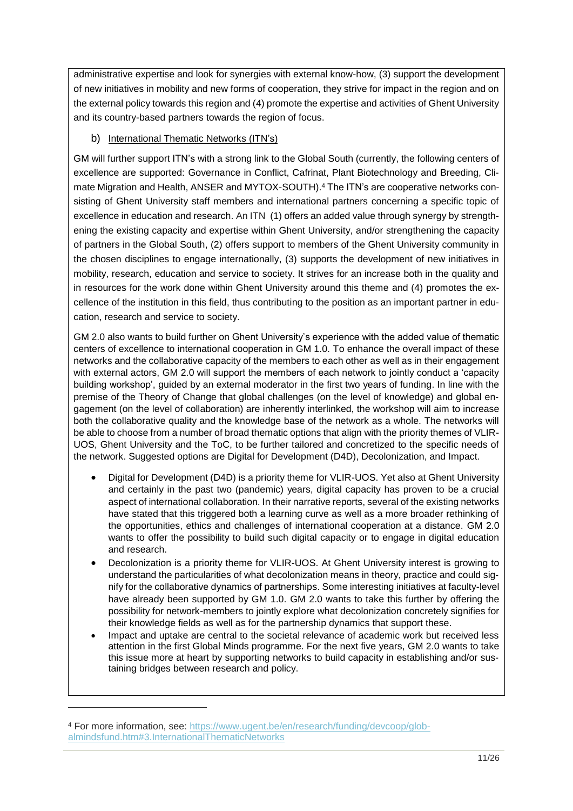administrative expertise and look for synergies with external know-how, (3) support the development of new initiatives in mobility and new forms of cooperation, they strive for impact in the region and on the external policy towards this region and (4) promote the expertise and activities of Ghent University and its country-based partners towards the region of focus.

## b) International Thematic Networks (ITN's)

GM will further support ITN's with a strong link to the Global South (currently, the following centers of excellence are supported: Governance in Conflict, Cafrinat, Plant Biotechnology and Breeding, Climate Migration and Health, ANSER and MYTOX-SOUTH).<sup>4</sup> The ITN's are cooperative networks consisting of Ghent University staff members and international partners concerning a specific topic of excellence in education and research. An ITN (1) offers an added value through synergy by strengthening the existing capacity and expertise within Ghent University, and/or strengthening the capacity of partners in the Global South, (2) offers support to members of the Ghent University community in the chosen disciplines to engage internationally, (3) supports the development of new initiatives in mobility, research, education and service to society. It strives for an increase both in the quality and in resources for the work done within Ghent University around this theme and (4) promotes the excellence of the institution in this field, thus contributing to the position as an important partner in education, research and service to society.

GM 2.0 also wants to build further on Ghent University's experience with the added value of thematic centers of excellence to international cooperation in GM 1.0. To enhance the overall impact of these networks and the collaborative capacity of the members to each other as well as in their engagement with external actors, GM 2.0 will support the members of each network to jointly conduct a 'capacity building workshop', guided by an external moderator in the first two years of funding. In line with the premise of the Theory of Change that global challenges (on the level of knowledge) and global engagement (on the level of collaboration) are inherently interlinked, the workshop will aim to increase both the collaborative quality and the knowledge base of the network as a whole. The networks will be able to choose from a number of broad thematic options that align with the priority themes of VLIR-UOS, Ghent University and the ToC, to be further tailored and concretized to the specific needs of the network. Suggested options are Digital for Development (D4D), Decolonization, and Impact.

- Digital for Development (D4D) is a priority theme for VLIR-UOS. Yet also at Ghent University and certainly in the past two (pandemic) years, digital capacity has proven to be a crucial aspect of international collaboration. In their narrative reports, several of the existing networks have stated that this triggered both a learning curve as well as a more broader rethinking of the opportunities, ethics and challenges of international cooperation at a distance. GM 2.0 wants to offer the possibility to build such digital capacity or to engage in digital education and research.
- Decolonization is a priority theme for VLIR-UOS. At Ghent University interest is growing to understand the particularities of what decolonization means in theory, practice and could signify for the collaborative dynamics of partnerships. Some interesting initiatives at faculty-level have already been supported by GM 1.0. GM 2.0 wants to take this further by offering the possibility for network-members to jointly explore what decolonization concretely signifies for their knowledge fields as well as for the partnership dynamics that support these.
- Impact and uptake are central to the societal relevance of academic work but received less attention in the first Global Minds programme. For the next five years, GM 2.0 wants to take this issue more at heart by supporting networks to build capacity in establishing and/or sustaining bridges between research and policy.

-

<sup>4</sup> For more information, see: [https://www.ugent.be/en/research/funding/devcoop/glob](https://www.ugent.be/en/research/funding/devcoop/globalmindsfund.htm#3.InternationalThematicNetworks)[almindsfund.htm#3.InternationalThematicNetworks](https://www.ugent.be/en/research/funding/devcoop/globalmindsfund.htm#3.InternationalThematicNetworks)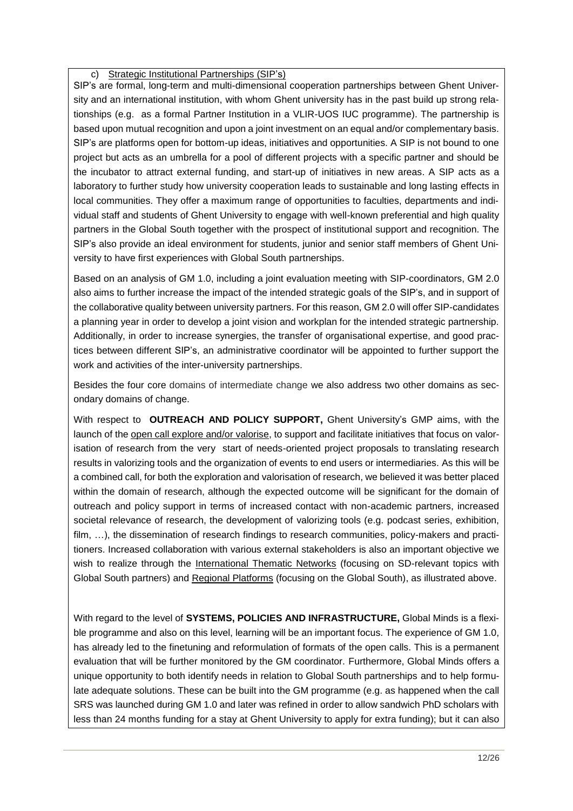c) Strategic Institutional Partnerships (SIP's)

SIP's are formal, long-term and multi-dimensional cooperation partnerships between Ghent University and an international institution, with whom Ghent university has in the past build up strong relationships (e.g. as a formal Partner Institution in a VLIR-UOS IUC programme). The partnership is based upon mutual recognition and upon a joint investment on an equal and/or complementary basis. SIP's are platforms open for bottom-up ideas, initiatives and opportunities. A SIP is not bound to one project but acts as an umbrella for a pool of different projects with a specific partner and should be the incubator to attract external funding, and start-up of initiatives in new areas. A SIP acts as a laboratory to further study how university cooperation leads to sustainable and long lasting effects in local communities. They offer a maximum range of opportunities to faculties, departments and individual staff and students of Ghent University to engage with well-known preferential and high quality partners in the Global South together with the prospect of institutional support and recognition. The SIP's also provide an ideal environment for students, junior and senior staff members of Ghent University to have first experiences with Global South partnerships.

Based on an analysis of GM 1.0, including a joint evaluation meeting with SIP-coordinators, GM 2.0 also aims to further increase the impact of the intended strategic goals of the SIP's, and in support of the collaborative quality between university partners. For this reason, GM 2.0 will offer SIP-candidates a planning year in order to develop a joint vision and workplan for the intended strategic partnership. Additionally, in order to increase synergies, the transfer of organisational expertise, and good practices between different SIP's, an administrative coordinator will be appointed to further support the work and activities of the inter-university partnerships.

Besides the four core domains of intermediate change we also address two other domains as secondary domains of change.

With respect to **OUTREACH AND POLICY SUPPORT,** Ghent University's GMP aims, with the launch of the open call explore and/or valorise, to support and facilitate initiatives that focus on valorisation of research from the very start of needs-oriented project proposals to translating research results in valorizing tools and the organization of events to end users or intermediaries. As this will be a combined call, for both the exploration and valorisation of research, we believed it was better placed within the domain of research, although the expected outcome will be significant for the domain of outreach and policy support in terms of increased contact with non-academic partners, increased societal relevance of research, the development of valorizing tools (e.g. podcast series, exhibition, film, ...), the dissemination of research findings to research communities, policy-makers and practitioners. Increased collaboration with various external stakeholders is also an important objective we wish to realize through the International Thematic Networks (focusing on SD-relevant topics with Global South partners) and Regional Platforms (focusing on the Global South), as illustrated above.

With regard to the level of **SYSTEMS, POLICIES AND INFRASTRUCTURE,** Global Minds is a flexible programme and also on this level, learning will be an important focus. The experience of GM 1.0, has already led to the finetuning and reformulation of formats of the open calls. This is a permanent evaluation that will be further monitored by the GM coordinator. Furthermore, Global Minds offers a unique opportunity to both identify needs in relation to Global South partnerships and to help formulate adequate solutions. These can be built into the GM programme (e.g. as happened when the call SRS was launched during GM 1.0 and later was refined in order to allow sandwich PhD scholars with less than 24 months funding for a stay at Ghent University to apply for extra funding); but it can also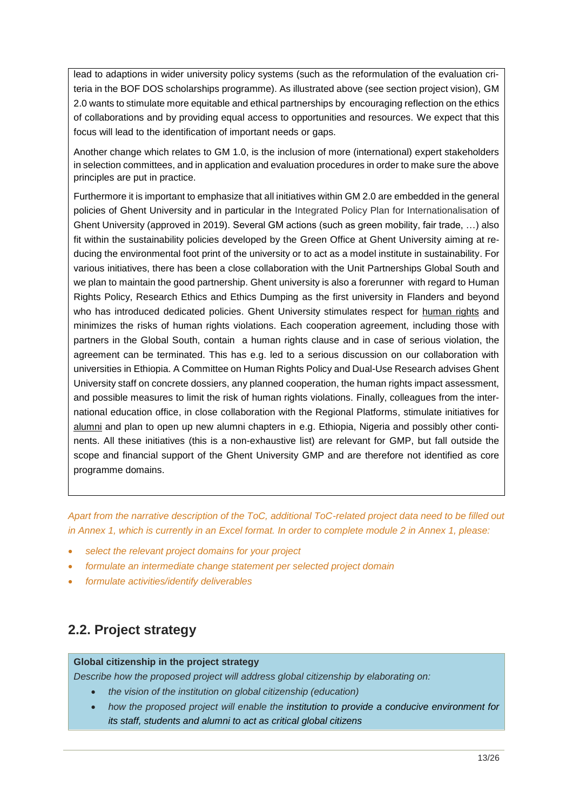lead to adaptions in wider university policy systems (such as the reformulation of the evaluation criteria in the BOF DOS scholarships programme). As illustrated above (see section project vision), GM 2.0 wants to stimulate more equitable and ethical partnerships by encouraging reflection on the ethics of collaborations and by providing equal access to opportunities and resources. We expect that this focus will lead to the identification of important needs or gaps.

Another change which relates to GM 1.0, is the inclusion of more (international) expert stakeholders in selection committees, and in application and evaluation procedures in order to make sure the above principles are put in practice.

Furthermore it is important to emphasize that all initiatives within GM 2.0 are embedded in the general policies of Ghent University and in particular in the Integrated Policy Plan for Internationalisation of Ghent University (approved in 2019). Several GM actions (such as green mobility, fair trade, …) also fit within the sustainability policies developed by the Green Office at Ghent University aiming at reducing the environmental foot print of the university or to act as a model institute in sustainability. For various initiatives, there has been a close collaboration with the Unit Partnerships Global South and we plan to maintain the good partnership. Ghent university is also a forerunner with regard to Human Rights Policy, Research Ethics and Ethics Dumping as the first university in Flanders and beyond who has introduced dedicated policies. Ghent University stimulates respect for human rights and minimizes the risks of human rights violations. Each cooperation agreement, including those with partners in the Global South, contain a human rights clause and in case of serious violation, the agreement can be terminated. This has e.g. led to a serious discussion on our collaboration with universities in Ethiopia. A Committee on Human Rights Policy and Dual-Use Research advises Ghent University staff on concrete dossiers, any planned cooperation, the human rights impact assessment, and possible measures to limit the risk of human rights violations. Finally, colleagues from the international education office, in close collaboration with the Regional Platforms, stimulate initiatives for alumni and plan to open up new alumni chapters in e.g. Ethiopia, Nigeria and possibly other continents. All these initiatives (this is a non-exhaustive list) are relevant for GMP, but fall outside the scope and financial support of the Ghent University GMP and are therefore not identified as core programme domains.

*Apart from the narrative description of the ToC, additional ToC-related project data need to be filled out in Annex 1, which is currently in an Excel format. In order to complete module 2 in Annex 1, please:*

- *select the relevant project domains for your project*
- *formulate an intermediate change statement per selected project domain*
- *formulate activities/identify deliverables*

# <span id="page-12-0"></span>**2.2. Project strategy**

#### **Global citizenship in the project strategy**

*Describe how the proposed project will address global citizenship by elaborating on:*

- *the vision of the institution on global citizenship (education)*
- *how the proposed project will enable the institution to provide a conducive environment for its staff, students and alumni to act as critical global citizens*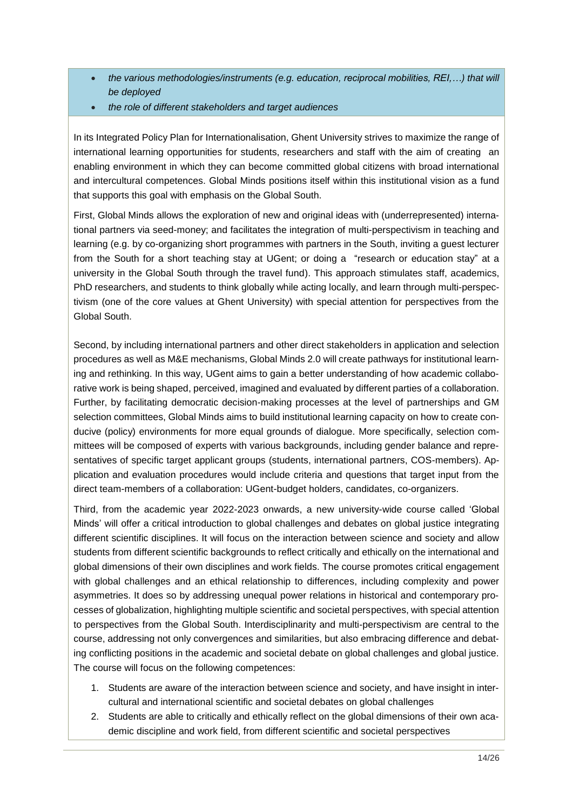- *the various methodologies/instruments (e.g. education, reciprocal mobilities, REI,…) that will be deployed*
- *the role of different stakeholders and target audiences*

In its Integrated Policy Plan for Internationalisation, Ghent University strives to maximize the range of international learning opportunities for students, researchers and staff with the aim of creating an enabling environment in which they can become committed global citizens with broad international and intercultural competences. Global Minds positions itself within this institutional vision as a fund that supports this goal with emphasis on the Global South.

First, Global Minds allows the exploration of new and original ideas with (underrepresented) international partners via seed-money; and facilitates the integration of multi-perspectivism in teaching and learning (e.g. by co-organizing short programmes with partners in the South, inviting a guest lecturer from the South for a short teaching stay at UGent; or doing a "research or education stay" at a university in the Global South through the travel fund). This approach stimulates staff, academics, PhD researchers, and students to think globally while acting locally, and learn through multi-perspectivism (one of the core values at Ghent University) with special attention for perspectives from the Global South.

Second, by including international partners and other direct stakeholders in application and selection procedures as well as M&E mechanisms, Global Minds 2.0 will create pathways for institutional learning and rethinking. In this way, UGent aims to gain a better understanding of how academic collaborative work is being shaped, perceived, imagined and evaluated by different parties of a collaboration. Further, by facilitating democratic decision-making processes at the level of partnerships and GM selection committees, Global Minds aims to build institutional learning capacity on how to create conducive (policy) environments for more equal grounds of dialogue. More specifically, selection committees will be composed of experts with various backgrounds, including gender balance and representatives of specific target applicant groups (students, international partners, COS-members). Application and evaluation procedures would include criteria and questions that target input from the direct team-members of a collaboration: UGent-budget holders, candidates, co-organizers.

Third, from the academic year 2022-2023 onwards, a new university-wide course called 'Global Minds' will offer a critical introduction to global challenges and debates on global justice integrating different scientific disciplines. It will focus on the interaction between science and society and allow students from different scientific backgrounds to reflect critically and ethically on the international and global dimensions of their own disciplines and work fields. The course promotes critical engagement with global challenges and an ethical relationship to differences, including complexity and power asymmetries. It does so by addressing unequal power relations in historical and contemporary processes of globalization, highlighting multiple scientific and societal perspectives, with special attention to perspectives from the Global South. Interdisciplinarity and multi-perspectivism are central to the course, addressing not only convergences and similarities, but also embracing difference and debating conflicting positions in the academic and societal debate on global challenges and global justice. The course will focus on the following competences:

- 1. Students are aware of the interaction between science and society, and have insight in intercultural and international scientific and societal debates on global challenges
- 2. Students are able to critically and ethically reflect on the global dimensions of their own academic discipline and work field, from different scientific and societal perspectives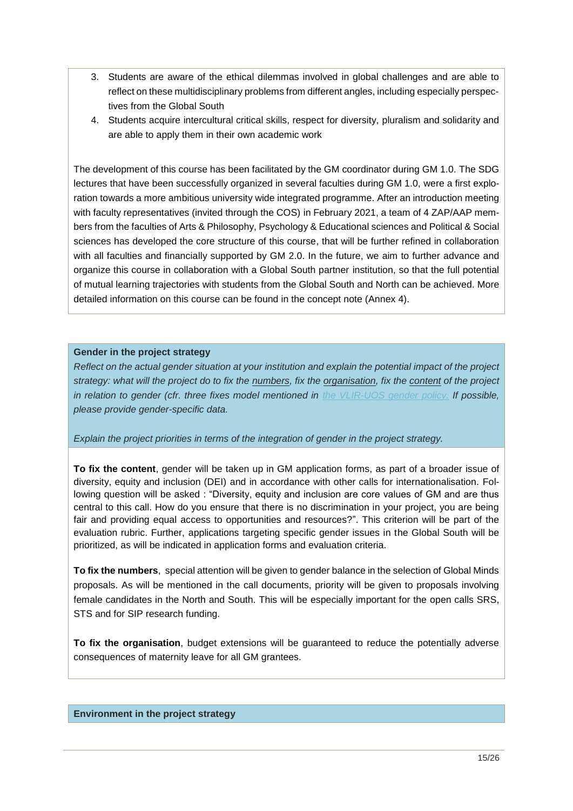- 3. Students are aware of the ethical dilemmas involved in global challenges and are able to reflect on these multidisciplinary problems from different angles, including especially perspectives from the Global South
- 4. Students acquire intercultural critical skills, respect for diversity, pluralism and solidarity and are able to apply them in their own academic work

The development of this course has been facilitated by the GM coordinator during GM 1.0. The SDG lectures that have been successfully organized in several faculties during GM 1.0, were a first exploration towards a more ambitious university wide integrated programme. After an introduction meeting with faculty representatives (invited through the COS) in February 2021, a team of 4 ZAP/AAP members from the faculties of Arts & Philosophy, Psychology & Educational sciences and Political & Social sciences has developed the core structure of this course, that will be further refined in collaboration with all faculties and financially supported by GM 2.0. In the future, we aim to further advance and organize this course in collaboration with a Global South partner institution, so that the full potential of mutual learning trajectories with students from the Global South and North can be achieved. More detailed information on this course can be found in the concept note (Annex 4).

#### **Gender in the project strategy**

*Reflect on the actual gender situation at your institution and explain the potential impact of the project strategy: what will the project do to fix the numbers, fix the organisation, fix the content of the project in relation to gender (cfr. three fixes model mentioned in [the VLIR-UOS](https://cdn.vliruos.be/vliruos/VLIR-UOS%20Gender%20policy%202020-2024%20final.pdf) gender policy. If possible, please provide gender-specific data.*

#### *Explain the project priorities in terms of the integration of gender in the project strategy.*

**To fix the content**, gender will be taken up in GM application forms, as part of a broader issue of diversity, equity and inclusion (DEI) and in accordance with other calls for internationalisation. Following question will be asked : "Diversity, equity and inclusion are core values of GM and are thus central to this call. How do you ensure that there is no discrimination in your project, you are being fair and providing equal access to opportunities and resources?". This criterion will be part of the evaluation rubric. Further, applications targeting specific gender issues in the Global South will be prioritized, as will be indicated in application forms and evaluation criteria.

**To fix the numbers**, special attention will be given to gender balance in the selection of Global Minds proposals. As will be mentioned in the call documents, priority will be given to proposals involving female candidates in the North and South. This will be especially important for the open calls SRS, STS and for SIP research funding.

**To fix the organisation**, budget extensions will be guaranteed to reduce the potentially adverse consequences of maternity leave for all GM grantees.

#### **Environment in the project strategy**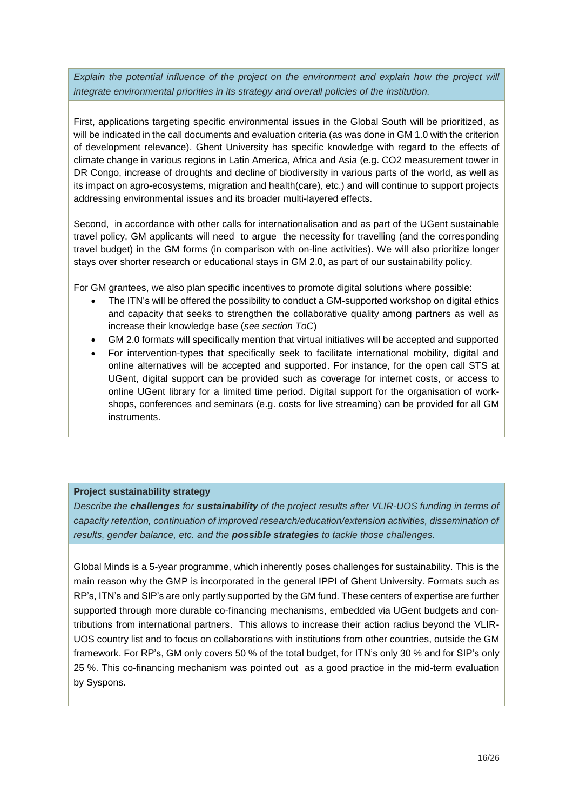*Explain the potential influence of the project on the environment and explain how the project will integrate environmental priorities in its strategy and overall policies of the institution.*

First, applications targeting specific environmental issues in the Global South will be prioritized, as will be indicated in the call documents and evaluation criteria (as was done in GM 1.0 with the criterion of development relevance). Ghent University has specific knowledge with regard to the effects of climate change in various regions in Latin America, Africa and Asia (e.g. CO2 measurement tower in DR Congo, increase of droughts and decline of biodiversity in various parts of the world, as well as its impact on agro-ecosystems, migration and health(care), etc.) and will continue to support projects addressing environmental issues and its broader multi-layered effects.

Second, in accordance with other calls for internationalisation and as part of the UGent sustainable travel policy, GM applicants will need to argue the necessity for travelling (and the corresponding travel budget) in the GM forms (in comparison with on-line activities). We will also prioritize longer stays over shorter research or educational stays in GM 2.0, as part of our sustainability policy.

For GM grantees, we also plan specific incentives to promote digital solutions where possible:

- The ITN's will be offered the possibility to conduct a GM-supported workshop on digital ethics and capacity that seeks to strengthen the collaborative quality among partners as well as increase their knowledge base (*see section ToC*)
- GM 2.0 formats will specifically mention that virtual initiatives will be accepted and supported
- For intervention-types that specifically seek to facilitate international mobility, digital and online alternatives will be accepted and supported. For instance, for the open call STS at UGent, digital support can be provided such as coverage for internet costs, or access to online UGent library for a limited time period. Digital support for the organisation of workshops, conferences and seminars (e.g. costs for live streaming) can be provided for all GM instruments.

### **Project sustainability strategy**

*Describe the challenges for sustainability of the project results after VLIR-UOS funding in terms of capacity retention, continuation of improved research/education/extension activities, dissemination of results, gender balance, etc. and the possible strategies to tackle those challenges.*

Global Minds is a 5-year programme, which inherently poses challenges for sustainability. This is the main reason why the GMP is incorporated in the general IPPI of Ghent University. Formats such as RP's, ITN's and SIP's are only partly supported by the GM fund. These centers of expertise are further supported through more durable co-financing mechanisms, embedded via UGent budgets and contributions from international partners. This allows to increase their action radius beyond the VLIR-UOS country list and to focus on collaborations with institutions from other countries, outside the GM framework. For RP's, GM only covers 50 % of the total budget, for ITN's only 30 % and for SIP's only 25 %. This co-financing mechanism was pointed out as a good practice in the mid-term evaluation by Syspons.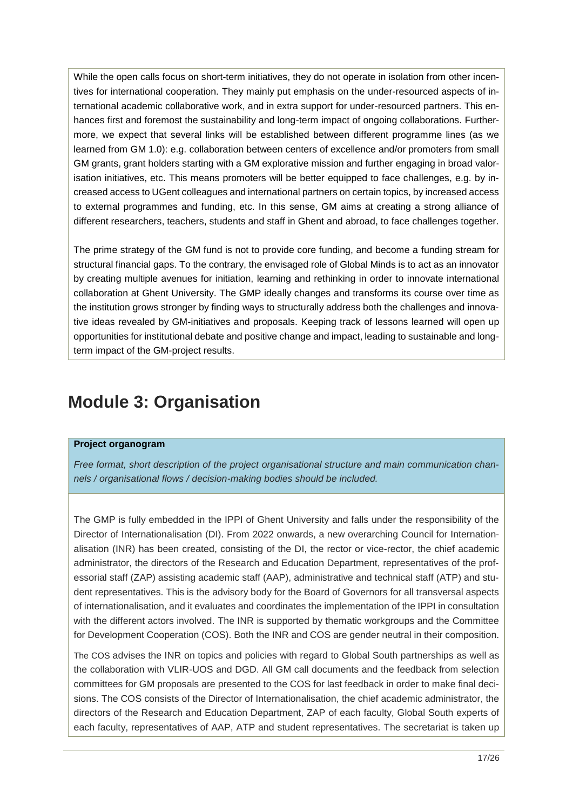While the open calls focus on short-term initiatives, they do not operate in isolation from other incentives for international cooperation. They mainly put emphasis on the under-resourced aspects of international academic collaborative work, and in extra support for under-resourced partners. This enhances first and foremost the sustainability and long-term impact of ongoing collaborations. Furthermore, we expect that several links will be established between different programme lines (as we learned from GM 1.0): e.g. collaboration between centers of excellence and/or promoters from small GM grants, grant holders starting with a GM explorative mission and further engaging in broad valorisation initiatives, etc. This means promoters will be better equipped to face challenges, e.g. by increased access to UGent colleagues and international partners on certain topics, by increased access to external programmes and funding, etc. In this sense, GM aims at creating a strong alliance of different researchers, teachers, students and staff in Ghent and abroad, to face challenges together.

The prime strategy of the GM fund is not to provide core funding, and become a funding stream for structural financial gaps. To the contrary, the envisaged role of Global Minds is to act as an innovator by creating multiple avenues for initiation, learning and rethinking in order to innovate international collaboration at Ghent University. The GMP ideally changes and transforms its course over time as the institution grows stronger by finding ways to structurally address both the challenges and innovative ideas revealed by GM-initiatives and proposals. Keeping track of lessons learned will open up opportunities for institutional debate and positive change and impact, leading to sustainable and longterm impact of the GM-project results.

# <span id="page-16-0"></span>**Module 3: Organisation**

#### **Project organogram**

*Free format, short description of the project organisational structure and main communication channels / organisational flows / decision-making bodies should be included.*

The GMP is fully embedded in the IPPI of Ghent University and falls under the responsibility of the Director of Internationalisation (DI). From 2022 onwards, a new overarching Council for Internationalisation (INR) has been created, consisting of the DI, the rector or vice-rector, the chief academic administrator, the directors of the Research and Education Department, representatives of the professorial staff (ZAP) assisting academic staff (AAP), administrative and technical staff (ATP) and student representatives. This is the advisory body for the Board of Governors for all transversal aspects of internationalisation, and it evaluates and coordinates the implementation of the IPPI in consultation with the different actors involved. The INR is supported by thematic workgroups and the Committee for Development Cooperation (COS). Both the INR and COS are gender neutral in their composition.

The COS advises the INR on topics and policies with regard to Global South partnerships as well as the collaboration with VLIR-UOS and DGD. All GM call documents and the feedback from selection committees for GM proposals are presented to the COS for last feedback in order to make final decisions. The COS consists of the Director of Internationalisation, the chief academic administrator, the directors of the Research and Education Department, ZAP of each faculty, Global South experts of each faculty, representatives of AAP, ATP and student representatives. The secretariat is taken up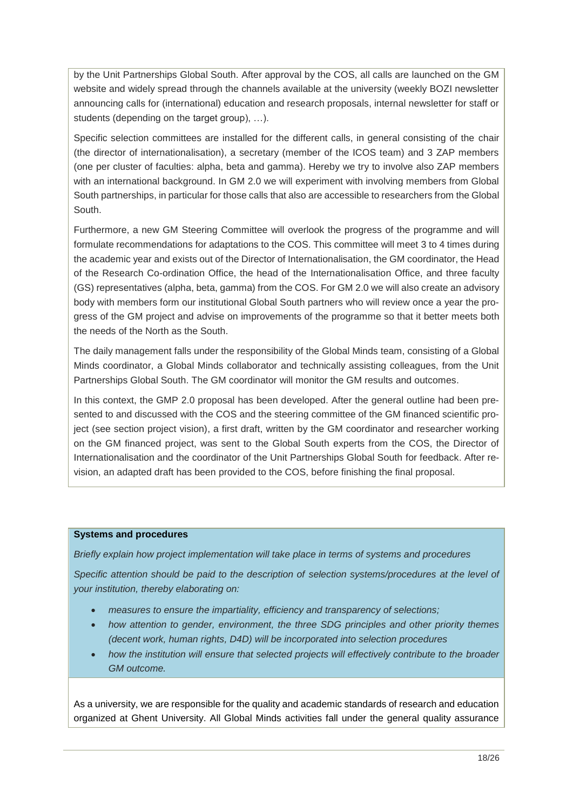by the Unit Partnerships Global South. After approval by the COS, all calls are launched on the GM website and widely spread through the channels available at the university (weekly BOZI newsletter announcing calls for (international) education and research proposals, internal newsletter for staff or students (depending on the target group), …).

Specific selection committees are installed for the different calls, in general consisting of the chair (the director of internationalisation), a secretary (member of the ICOS team) and 3 ZAP members (one per cluster of faculties: alpha, beta and gamma). Hereby we try to involve also ZAP members with an international background. In GM 2.0 we will experiment with involving members from Global South partnerships, in particular for those calls that also are accessible to researchers from the Global South.

Furthermore, a new GM Steering Committee will overlook the progress of the programme and will formulate recommendations for adaptations to the COS. This committee will meet 3 to 4 times during the academic year and exists out of the Director of Internationalisation, the GM coordinator, the Head of the Research Co-ordination Office, the head of the Internationalisation Office, and three faculty (GS) representatives (alpha, beta, gamma) from the COS. For GM 2.0 we will also create an advisory body with members form our institutional Global South partners who will review once a year the progress of the GM project and advise on improvements of the programme so that it better meets both the needs of the North as the South.

The daily management falls under the responsibility of the Global Minds team, consisting of a Global Minds coordinator, a Global Minds collaborator and technically assisting colleagues, from the Unit Partnerships Global South. The GM coordinator will monitor the GM results and outcomes.

In this context, the GMP 2.0 proposal has been developed. After the general outline had been presented to and discussed with the COS and the steering committee of the GM financed scientific project (see section project vision), a first draft, written by the GM coordinator and researcher working on the GM financed project, was sent to the Global South experts from the COS, the Director of Internationalisation and the coordinator of the Unit Partnerships Global South for feedback. After revision, an adapted draft has been provided to the COS, before finishing the final proposal.

#### **Systems and procedures**

*Briefly explain how project implementation will take place in terms of systems and procedures*

*Specific attention should be paid to the description of selection systems/procedures at the level of your institution, thereby elaborating on:*

- *measures to ensure the impartiality, efficiency and transparency of selections;*
- *how attention to gender, environment, the three SDG principles and other priority themes (decent work, human rights, D4D) will be incorporated into selection procedures*
- *how the institution will ensure that selected projects will effectively contribute to the broader GM outcome.*

As a university, we are responsible for the quality and academic standards of research and education organized at Ghent University. All Global Minds activities fall under the general quality assurance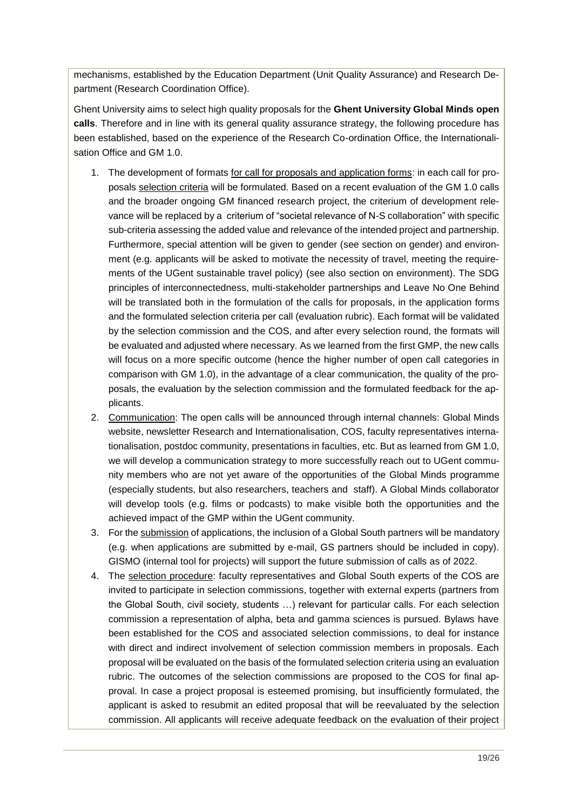mechanisms, established by the Education Department (Unit Quality Assurance) and Research Department (Research Coordination Office).

Ghent University aims to select high quality proposals for the **Ghent University Global Minds open calls**. Therefore and in line with its general quality assurance strategy, the following procedure has been established, based on the experience of the Research Co-ordination Office, the Internationalisation Office and GM 1.0.

- 1. The development of formats for call for proposals and application forms: in each call for proposals selection criteria will be formulated. Based on a recent evaluation of the GM 1.0 calls and the broader ongoing GM financed research project, the criterium of development relevance will be replaced by a criterium of "societal relevance of N-S collaboration" with specific sub-criteria assessing the added value and relevance of the intended project and partnership. Furthermore, special attention will be given to gender (see section on gender) and environment (e.g. applicants will be asked to motivate the necessity of travel, meeting the requirements of the UGent sustainable travel policy) (see also section on environment). The SDG principles of interconnectedness, multi-stakeholder partnerships and Leave No One Behind will be translated both in the formulation of the calls for proposals, in the application forms and the formulated selection criteria per call (evaluation rubric). Each format will be validated by the selection commission and the COS, and after every selection round, the formats will be evaluated and adjusted where necessary. As we learned from the first GMP, the new calls will focus on a more specific outcome (hence the higher number of open call categories in comparison with GM 1.0), in the advantage of a clear communication, the quality of the proposals, the evaluation by the selection commission and the formulated feedback for the applicants.
- 2. Communication: The open calls will be announced through internal channels: Global Minds website, newsletter Research and Internationalisation, COS, faculty representatives internationalisation, postdoc community, presentations in faculties, etc. But as learned from GM 1.0, we will develop a communication strategy to more successfully reach out to UGent community members who are not yet aware of the opportunities of the Global Minds programme (especially students, but also researchers, teachers and staff). A Global Minds collaborator will develop tools (e.g. films or podcasts) to make visible both the opportunities and the achieved impact of the GMP within the UGent community.
- 3. For the submission of applications, the inclusion of a Global South partners will be mandatory (e.g. when applications are submitted by e-mail, GS partners should be included in copy). GISMO (internal tool for projects) will support the future submission of calls as of 2022.
- 4. The selection procedure: faculty representatives and Global South experts of the COS are invited to participate in selection commissions, together with external experts (partners from the Global South, civil society, students …) relevant for particular calls. For each selection commission a representation of alpha, beta and gamma sciences is pursued. Bylaws have been established for the COS and associated selection commissions, to deal for instance with direct and indirect involvement of selection commission members in proposals. Each proposal will be evaluated on the basis of the formulated selection criteria using an evaluation rubric. The outcomes of the selection commissions are proposed to the COS for final approval. In case a project proposal is esteemed promising, but insufficiently formulated, the applicant is asked to resubmit an edited proposal that will be reevaluated by the selection commission. All applicants will receive adequate feedback on the evaluation of their project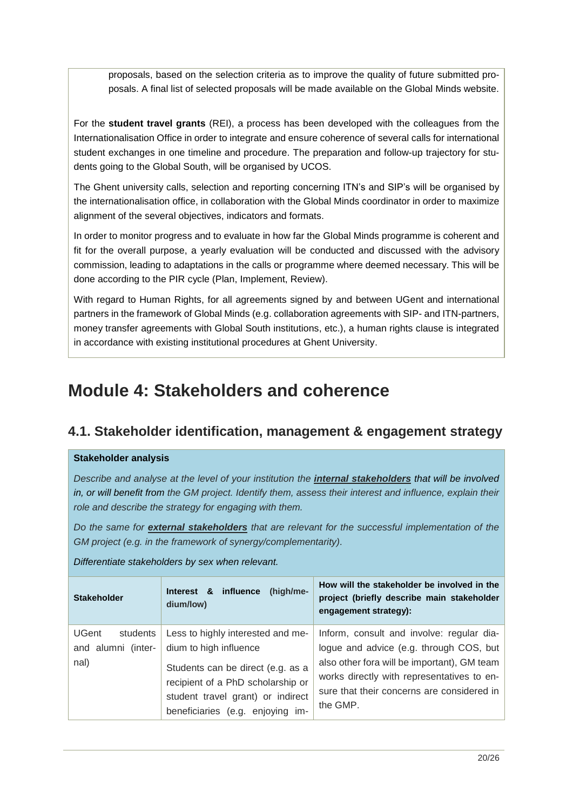proposals, based on the selection criteria as to improve the quality of future submitted proposals. A final list of selected proposals will be made available on the Global Minds website.

For the **student travel grants** (REI), a process has been developed with the colleagues from the Internationalisation Office in order to integrate and ensure coherence of several calls for international student exchanges in one timeline and procedure. The preparation and follow-up trajectory for students going to the Global South, will be organised by UCOS.

The Ghent university calls, selection and reporting concerning ITN's and SIP's will be organised by the internationalisation office, in collaboration with the Global Minds coordinator in order to maximize alignment of the several objectives, indicators and formats.

In order to monitor progress and to evaluate in how far the Global Minds programme is coherent and fit for the overall purpose, a yearly evaluation will be conducted and discussed with the advisory commission, leading to adaptations in the calls or programme where deemed necessary. This will be done according to the PIR cycle (Plan, Implement, Review).

With regard to Human Rights, for all agreements signed by and between UGent and international partners in the framework of Global Minds (e.g. collaboration agreements with SIP- and ITN-partners, money transfer agreements with Global South institutions, etc.), a human rights clause is integrated in accordance with existing institutional procedures at Ghent University.

# <span id="page-19-0"></span>**Module 4: Stakeholders and coherence**

# <span id="page-19-1"></span>**4.1. Stakeholder identification, management & engagement strategy**

### **Stakeholder analysis**

*Describe and analyse at the level of your institution the internal stakeholders that will be involved in, or will benefit from the GM project. Identify them, assess their interest and influence, explain their role and describe the strategy for engaging with them.*

*Do the same for external stakeholders that are relevant for the successful implementation of the GM project (e.g. in the framework of synergy/complementarity).*

*Differentiate stakeholders by sex when relevant.*

| <b>Stakeholder</b>                                     | influence<br>(high/me-<br>Interest &<br>dium/low)                                                                                                                                                              | How will the stakeholder be involved in the<br>project (briefly describe main stakeholder<br>engagement strategy):                                                                                                                          |
|--------------------------------------------------------|----------------------------------------------------------------------------------------------------------------------------------------------------------------------------------------------------------------|---------------------------------------------------------------------------------------------------------------------------------------------------------------------------------------------------------------------------------------------|
| <b>UGent</b><br>students<br>and alumni (inter-<br>nal) | Less to highly interested and me-<br>dium to high influence<br>Students can be direct (e.g. as a<br>recipient of a PhD scholarship or<br>student travel grant) or indirect<br>beneficiaries (e.g. enjoying im- | Inform, consult and involve: regular dia-<br>logue and advice (e.g. through COS, but<br>also other fora will be important), GM team<br>works directly with representatives to en-<br>sure that their concerns are considered in<br>the GMP. |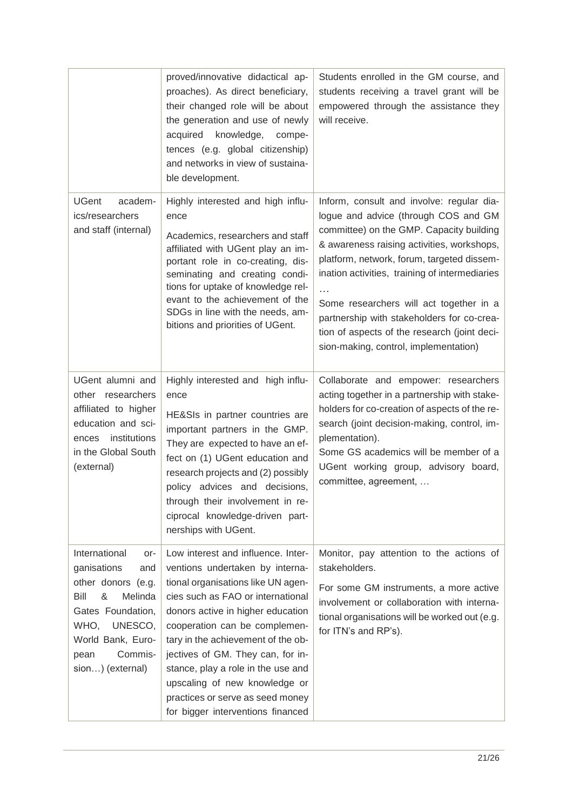|                                                                                                                                                                                              | proved/innovative didactical ap-<br>proaches). As direct beneficiary,<br>their changed role will be about<br>the generation and use of newly<br>acquired knowledge, compe-<br>tences (e.g. global citizenship)<br>and networks in view of sustaina-<br>ble development.                                                                                                                                                                           | Students enrolled in the GM course, and<br>students receiving a travel grant will be<br>empowered through the assistance they<br>will receive.                                                                                                                                                                                                                                                                                                                     |
|----------------------------------------------------------------------------------------------------------------------------------------------------------------------------------------------|---------------------------------------------------------------------------------------------------------------------------------------------------------------------------------------------------------------------------------------------------------------------------------------------------------------------------------------------------------------------------------------------------------------------------------------------------|--------------------------------------------------------------------------------------------------------------------------------------------------------------------------------------------------------------------------------------------------------------------------------------------------------------------------------------------------------------------------------------------------------------------------------------------------------------------|
| <b>UGent</b><br>academ-<br>ics/researchers<br>and staff (internal)                                                                                                                           | Highly interested and high influ-<br>ence<br>Academics, researchers and staff<br>affiliated with UGent play an im-<br>portant role in co-creating, dis-<br>seminating and creating condi-<br>tions for uptake of knowledge rel-<br>evant to the achievement of the<br>SDGs in line with the needs, am-<br>bitions and priorities of UGent.                                                                                                        | Inform, consult and involve: regular dia-<br>logue and advice (through COS and GM<br>committee) on the GMP. Capacity building<br>& awareness raising activities, workshops,<br>platform, network, forum, targeted dissem-<br>ination activities, training of intermediaries<br>.<br>Some researchers will act together in a<br>partnership with stakeholders for co-crea-<br>tion of aspects of the research (joint deci-<br>sion-making, control, implementation) |
| UGent alumni and<br>other researchers<br>affiliated to higher<br>education and sci-<br>institutions<br>ences<br>in the Global South<br>(external)                                            | Highly interested and high influ-<br>ence<br>HE&SIs in partner countries are<br>important partners in the GMP.<br>They are expected to have an ef-<br>fect on (1) UGent education and<br>research projects and (2) possibly<br>policy advices and decisions,<br>through their involvement in re-<br>ciprocal knowledge-driven part-<br>nerships with UGent.                                                                                       | Collaborate and empower: researchers<br>acting together in a partnership with stake-<br>holders for co-creation of aspects of the re-<br>search (joint decision-making, control, im-<br>plementation).<br>Some GS academics will be member of a<br>UGent working group, advisory board,<br>committee, agreement,                                                                                                                                                   |
| International<br>or-<br>ganisations<br>and<br>other donors (e.g.<br>Bill<br>&<br>Melinda<br>Gates Foundation,<br>UNESCO,<br>WHO,<br>World Bank, Euro-<br>Commis-<br>pean<br>sion) (external) | Low interest and influence. Inter-<br>ventions undertaken by interna-<br>tional organisations like UN agen-<br>cies such as FAO or international<br>donors active in higher education<br>cooperation can be complemen-<br>tary in the achievement of the ob-<br>jectives of GM. They can, for in-<br>stance, play a role in the use and<br>upscaling of new knowledge or<br>practices or serve as seed money<br>for bigger interventions financed | Monitor, pay attention to the actions of<br>stakeholders.<br>For some GM instruments, a more active<br>involvement or collaboration with interna-<br>tional organisations will be worked out (e.g.<br>for ITN's and RP's).                                                                                                                                                                                                                                         |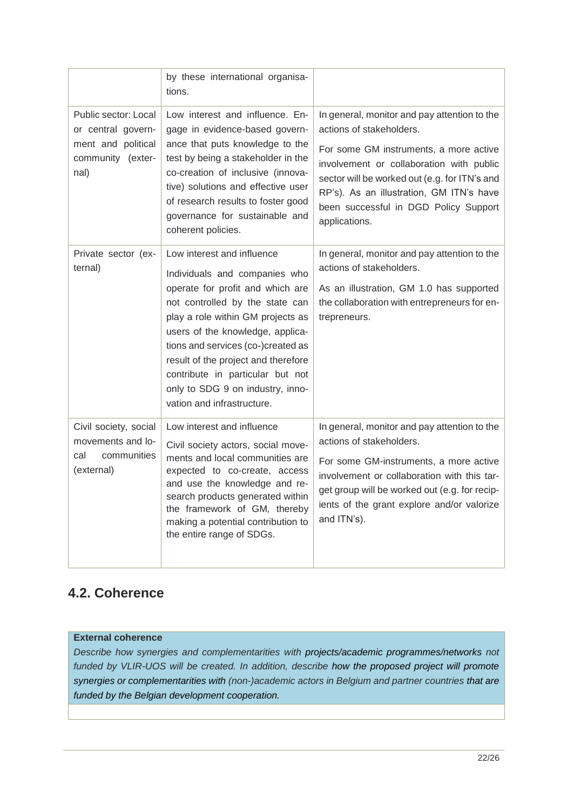|                                                                                               | by these international organisa-<br>tions.                                                                                                                                                                                                                                                                                                                                                     |                                                                                                                                                                                                                                                                                                                       |
|-----------------------------------------------------------------------------------------------|------------------------------------------------------------------------------------------------------------------------------------------------------------------------------------------------------------------------------------------------------------------------------------------------------------------------------------------------------------------------------------------------|-----------------------------------------------------------------------------------------------------------------------------------------------------------------------------------------------------------------------------------------------------------------------------------------------------------------------|
| Public sector: Local<br>or central govern-<br>ment and political<br>community (exter-<br>nal) | Low interest and influence. En-<br>gage in evidence-based govern-<br>ance that puts knowledge to the<br>test by being a stakeholder in the<br>co-creation of inclusive (innova-<br>tive) solutions and effective user<br>of research results to foster good<br>governance for sustainable and<br>coherent policies.                                                                            | In general, monitor and pay attention to the<br>actions of stakeholders.<br>For some GM instruments, a more active<br>involvement or collaboration with public<br>sector will be worked out (e.g. for ITN's and<br>RP's). As an illustration, GM ITN's have<br>been successful in DGD Policy Support<br>applications. |
| Private sector (ex-<br>ternal)                                                                | Low interest and influence<br>Individuals and companies who<br>operate for profit and which are<br>not controlled by the state can<br>play a role within GM projects as<br>users of the knowledge, applica-<br>tions and services (co-)created as<br>result of the project and therefore<br>contribute in particular but not<br>only to SDG 9 on industry, inno-<br>vation and infrastructure. | In general, monitor and pay attention to the<br>actions of stakeholders.<br>As an illustration, GM 1.0 has supported<br>the collaboration with entrepreneurs for en-<br>trepreneurs.                                                                                                                                  |
| Civil society, social<br>movements and lo-<br>communities<br>cal<br>(external)                | Low interest and influence<br>Civil society actors, social move-<br>ments and local communities are<br>expected to co-create, access<br>and use the knowledge and re-<br>search products generated within<br>the framework of GM, thereby<br>making a potential contribution to<br>the entire range of SDGs.                                                                                   | In general, monitor and pay attention to the<br>actions of stakeholders.<br>For some GM-instruments, a more active<br>involvement or collaboration with this tar-<br>get group will be worked out (e.g. for recip-<br>ients of the grant explore and/or valorize<br>and ITN's).                                       |

# <span id="page-21-0"></span>**4.2. Coherence**

### **External coherence**

*Describe how synergies and complementarities with projects/academic programmes/networks not funded by VLIR-UOS will be created. In addition, describe how the proposed project will promote synergies or complementarities with (non-)academic actors in Belgium and partner countries that are funded by the Belgian development cooperation.*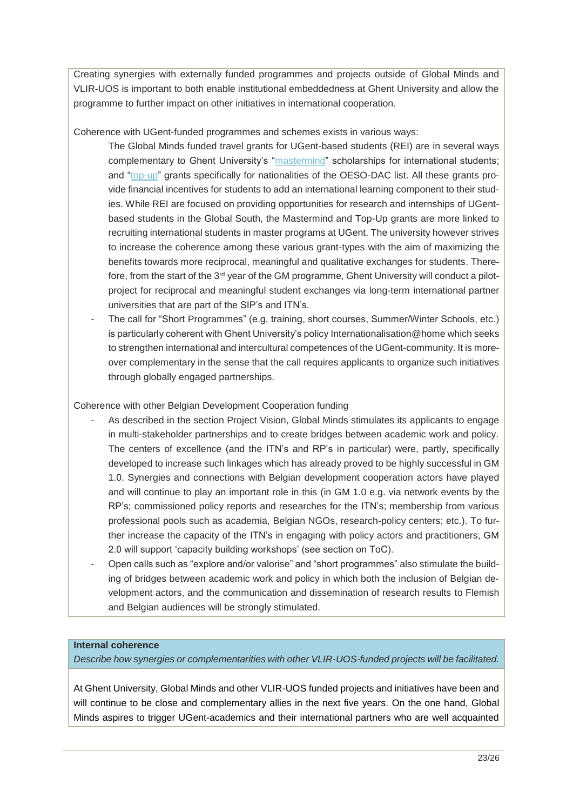Creating synergies with externally funded programmes and projects outside of Global Minds and VLIR-UOS is important to both enable institutional embeddedness at Ghent University and allow the programme to further impact on other initiatives in international cooperation.

Coherence with UGent-funded programmes and schemes exists in various ways:

- The Global Minds funded travel grants for UGent-based students (REI) are in several ways complementary to Ghent University's ["mastermind"](https://www.ugent.be/en/research/funding/devcoop/grants-scholarships/master-mind) scholarships for international students; and ["top-up"](https://www.ugent.be/en/research/funding/devcoop/grants-scholarships/top-up-grants) grants specifically for nationalities of the OESO-DAC list. All these grants provide financial incentives for students to add an international learning component to their studies. While REI are focused on providing opportunities for research and internships of UGentbased students in the Global South, the Mastermind and Top-Up grants are more linked to recruiting international students in master programs at UGent. The university however strives to increase the coherence among these various grant-types with the aim of maximizing the benefits towards more reciprocal, meaningful and qualitative exchanges for students. Therefore, from the start of the 3rd year of the GM programme, Ghent University will conduct a pilotproject for reciprocal and meaningful student exchanges via long-term international partner universities that are part of the SIP's and ITN's.
- The call for "Short Programmes" (e.g. training, short courses, Summer/Winter Schools, etc.) is particularly coherent with Ghent University's policy Internationalisation@home which seeks to strengthen international and intercultural competences of the UGent-community. It is moreover complementary in the sense that the call requires applicants to organize such initiatives through globally engaged partnerships.

### Coherence with other Belgian Development Cooperation funding

- As described in the section Project Vision, Global Minds stimulates its applicants to engage in multi-stakeholder partnerships and to create bridges between academic work and policy. The centers of excellence (and the ITN's and RP's in particular) were, partly, specifically developed to increase such linkages which has already proved to be highly successful in GM 1.0. Synergies and connections with Belgian development cooperation actors have played and will continue to play an important role in this (in GM 1.0 e.g. via network events by the RP's; commissioned policy reports and researches for the ITN's; membership from various professional pools such as academia, Belgian NGOs, research-policy centers; etc.). To further increase the capacity of the ITN's in engaging with policy actors and practitioners, GM 2.0 will support 'capacity building workshops' (see section on ToC).
- Open calls such as "explore and/or valorise" and "short programmes" also stimulate the building of bridges between academic work and policy in which both the inclusion of Belgian development actors, and the communication and dissemination of research results to Flemish and Belgian audiences will be strongly stimulated.

#### **Internal coherence**

*Describe how synergies or complementarities with other VLIR-UOS-funded projects will be facilitated.*

At Ghent University, Global Minds and other VLIR-UOS funded projects and initiatives have been and will continue to be close and complementary allies in the next five years. On the one hand, Global Minds aspires to trigger UGent-academics and their international partners who are well acquainted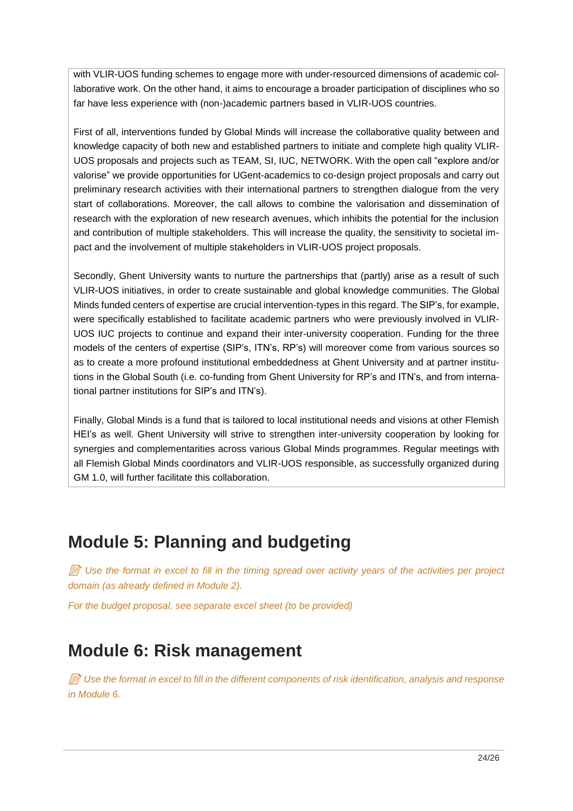with VLIR-UOS funding schemes to engage more with under-resourced dimensions of academic collaborative work. On the other hand, it aims to encourage a broader participation of disciplines who so far have less experience with (non-)academic partners based in VLIR-UOS countries.

First of all, interventions funded by Global Minds will increase the collaborative quality between and knowledge capacity of both new and established partners to initiate and complete high quality VLIR-UOS proposals and projects such as TEAM, SI, IUC, NETWORK. With the open call "explore and/or valorise" we provide opportunities for UGent-academics to co-design project proposals and carry out preliminary research activities with their international partners to strengthen dialogue from the very start of collaborations. Moreover, the call allows to combine the valorisation and dissemination of research with the exploration of new research avenues, which inhibits the potential for the inclusion and contribution of multiple stakeholders. This will increase the quality, the sensitivity to societal impact and the involvement of multiple stakeholders in VLIR-UOS project proposals.

Secondly, Ghent University wants to nurture the partnerships that (partly) arise as a result of such VLIR-UOS initiatives, in order to create sustainable and global knowledge communities. The Global Minds funded centers of expertise are crucial intervention-types in this regard. The SIP's, for example, were specifically established to facilitate academic partners who were previously involved in VLIR-UOS IUC projects to continue and expand their inter-university cooperation. Funding for the three models of the centers of expertise (SIP's, ITN's, RP's) will moreover come from various sources so as to create a more profound institutional embeddedness at Ghent University and at partner institutions in the Global South (i.e. co-funding from Ghent University for RP's and ITN's, and from international partner institutions for SIP's and ITN's).

Finally, Global Minds is a fund that is tailored to local institutional needs and visions at other Flemish HEI's as well. Ghent University will strive to strengthen inter-university cooperation by looking for synergies and complementarities across various Global Minds programmes. Regular meetings with all Flemish Global Minds coordinators and VLIR-UOS responsible, as successfully organized during GM 1.0, will further facilitate this collaboration.

# <span id="page-23-0"></span>**Module 5: Planning and budgeting**

 $\mathbb{\widehat{B}}$  Use the format in excel to fill in the timing spread over activity years of the activities per project *domain (as already defined in Module 2).*

*For the budget proposal, see separate excel sheet (to be provided)*

# <span id="page-23-1"></span>**Module 6: Risk management**

 *Use the format in excel to fill in the different components of risk identification, analysis and response in Module 6.*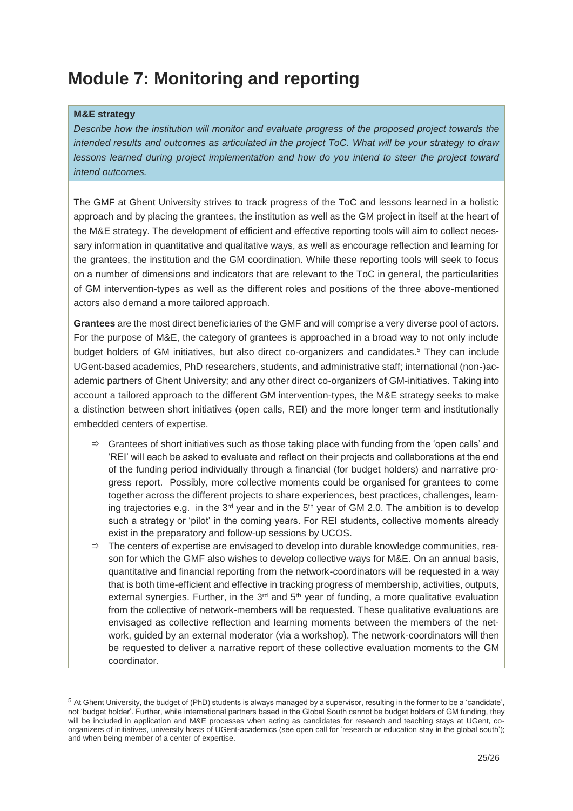# <span id="page-24-0"></span>**Module 7: Monitoring and reporting**

### **M&E strategy**

-

*Describe how the institution will monitor and evaluate progress of the proposed project towards the intended results and outcomes as articulated in the project ToC. What will be your strategy to draw lessons learned during project implementation and how do you intend to steer the project toward intend outcomes.*

The GMF at Ghent University strives to track progress of the ToC and lessons learned in a holistic approach and by placing the grantees, the institution as well as the GM project in itself at the heart of the M&E strategy. The development of efficient and effective reporting tools will aim to collect necessary information in quantitative and qualitative ways, as well as encourage reflection and learning for the grantees, the institution and the GM coordination. While these reporting tools will seek to focus on a number of dimensions and indicators that are relevant to the ToC in general, the particularities of GM intervention-types as well as the different roles and positions of the three above-mentioned actors also demand a more tailored approach.

**Grantees** are the most direct beneficiaries of the GMF and will comprise a very diverse pool of actors. For the purpose of M&E, the category of grantees is approached in a broad way to not only include budget holders of GM initiatives, but also direct co-organizers and candidates.<sup>5</sup> They can include UGent-based academics, PhD researchers, students, and administrative staff; international (non-)academic partners of Ghent University; and any other direct co-organizers of GM-initiatives. Taking into account a tailored approach to the different GM intervention-types, the M&E strategy seeks to make a distinction between short initiatives (open calls, REI) and the more longer term and institutionally embedded centers of expertise.

- $\Rightarrow$  Grantees of short initiatives such as those taking place with funding from the 'open calls' and 'REI' will each be asked to evaluate and reflect on their projects and collaborations at the end of the funding period individually through a financial (for budget holders) and narrative progress report. Possibly, more collective moments could be organised for grantees to come together across the different projects to share experiences, best practices, challenges, learning trajectories e.g. in the  $3<sup>rd</sup>$  year and in the  $5<sup>th</sup>$  year of GM 2.0. The ambition is to develop such a strategy or 'pilot' in the coming years. For REI students, collective moments already exist in the preparatory and follow-up sessions by UCOS.
- $\Rightarrow$  The centers of expertise are envisaged to develop into durable knowledge communities, reason for which the GMF also wishes to develop collective ways for M&E. On an annual basis, quantitative and financial reporting from the network-coordinators will be requested in a way that is both time-efficient and effective in tracking progress of membership, activities, outputs, external synergies. Further, in the  $3<sup>rd</sup>$  and  $5<sup>th</sup>$  year of funding, a more qualitative evaluation from the collective of network-members will be requested. These qualitative evaluations are envisaged as collective reflection and learning moments between the members of the network, guided by an external moderator (via a workshop). The network-coordinators will then be requested to deliver a narrative report of these collective evaluation moments to the GM coordinator.

 $5$  At Ghent University, the budget of (PhD) students is always managed by a supervisor, resulting in the former to be a 'candidate', not 'budget holder'. Further, while international partners based in the Global South cannot be budget holders of GM funding, they will be included in application and M&E processes when acting as candidates for research and teaching stays at UGent, coorganizers of initiatives, university hosts of UGent-academics (see open call for 'research or education stay in the global south'); and when being member of a center of expertise.